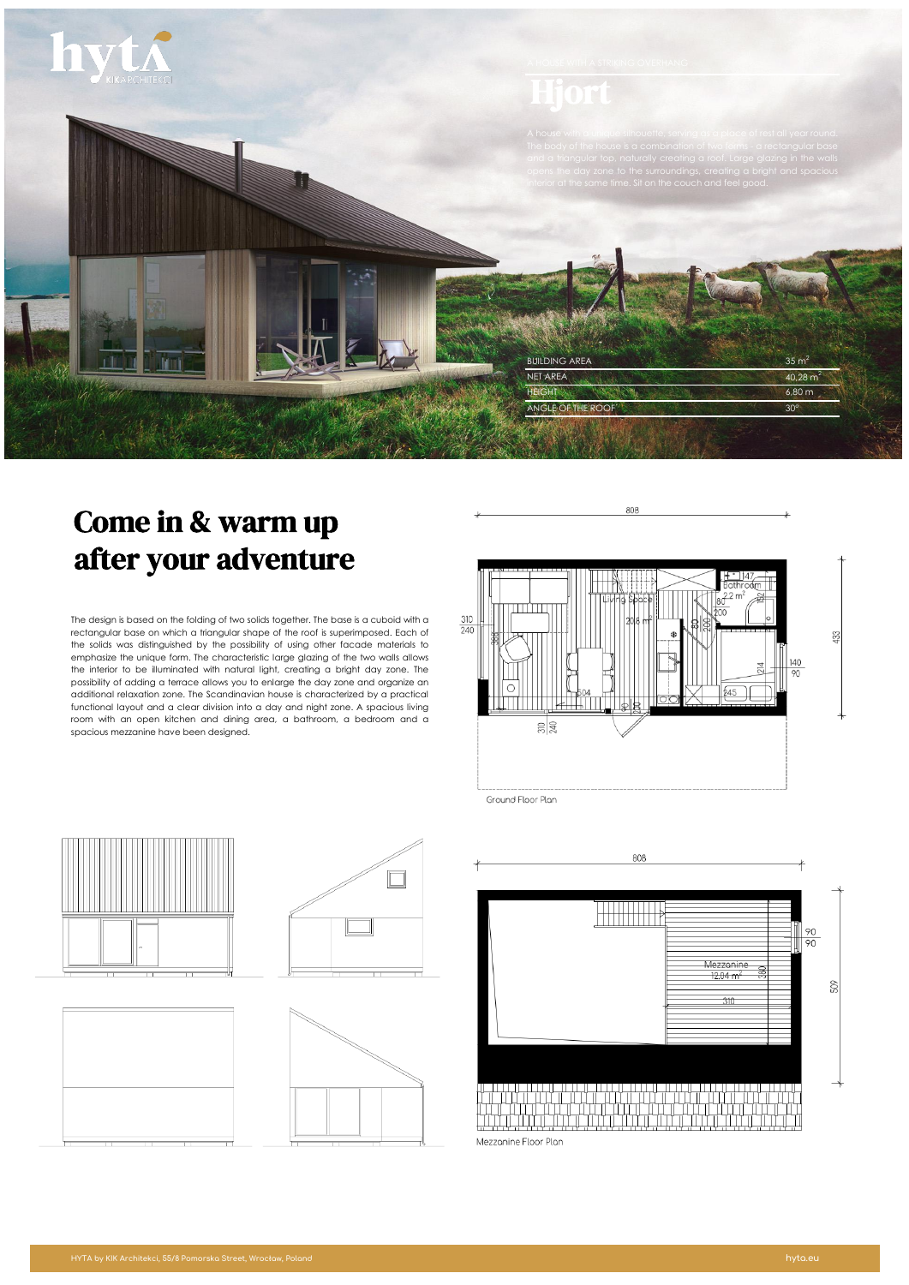

# Come in & warm up after your adventure

The design is based on the folding of two solids together. The base is a cuboid with a rectangular base on which a triangular shape of the roof is superimposed. Each of the solids was distinguished by the possibility of using other facade materials to emphasize the unique form. The characteristic large glazing of the two walls allows the interior to be illuminated with natural light, creating a bright day zone. The possibility of adding a terrace allows you to enlarge the day zone and organize an additional relaxation zone. The Scandinavian house is characterized by a practical functional layout and a clear division into a day and night zone. A spacious living room with an open kitchen and dining area, a bathroom, a bedroom and a spacious mezzanine have been designed.



808

Ground Floor Plan